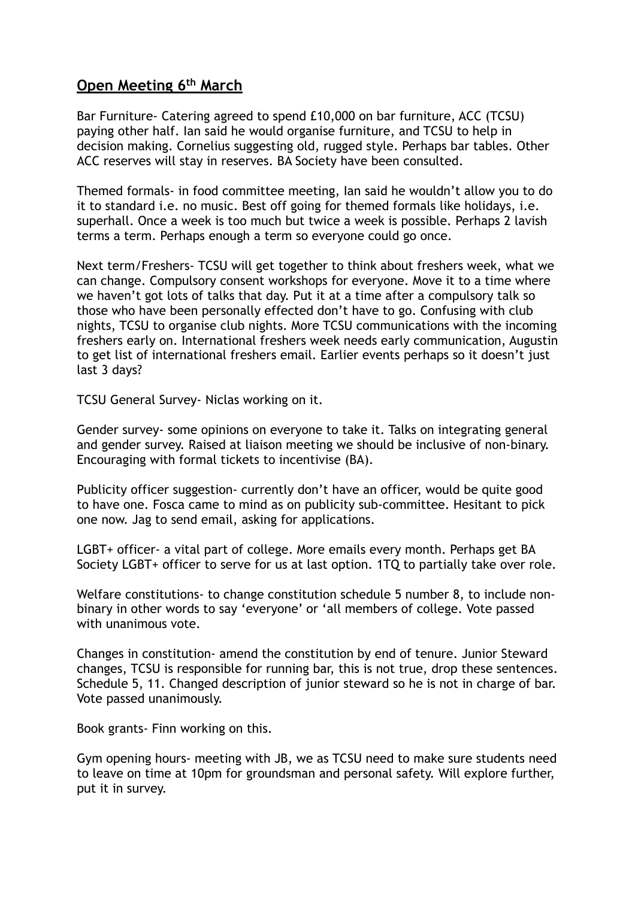## **Open Meeting 6th March**

Bar Furniture- Catering agreed to spend £10,000 on bar furniture, ACC (TCSU) paying other half. Ian said he would organise furniture, and TCSU to help in decision making. Cornelius suggesting old, rugged style. Perhaps bar tables. Other ACC reserves will stay in reserves. BA Society have been consulted.

Themed formals- in food committee meeting, Ian said he wouldn't allow you to do it to standard i.e. no music. Best off going for themed formals like holidays, i.e. superhall. Once a week is too much but twice a week is possible. Perhaps 2 lavish terms a term. Perhaps enough a term so everyone could go once.

Next term/Freshers- TCSU will get together to think about freshers week, what we can change. Compulsory consent workshops for everyone. Move it to a time where we haven't got lots of talks that day. Put it at a time after a compulsory talk so those who have been personally effected don't have to go. Confusing with club nights, TCSU to organise club nights. More TCSU communications with the incoming freshers early on. International freshers week needs early communication, Augustin to get list of international freshers email. Earlier events perhaps so it doesn't just last 3 days?

TCSU General Survey- Niclas working on it.

Gender survey- some opinions on everyone to take it. Talks on integrating general and gender survey. Raised at liaison meeting we should be inclusive of non-binary. Encouraging with formal tickets to incentivise (BA).

Publicity officer suggestion- currently don't have an officer, would be quite good to have one. Fosca came to mind as on publicity sub-committee. Hesitant to pick one now. Jag to send email, asking for applications.

LGBT+ officer- a vital part of college. More emails every month. Perhaps get BA Society LGBT+ officer to serve for us at last option. 1TQ to partially take over role.

Welfare constitutions- to change constitution schedule 5 number 8, to include nonbinary in other words to say 'everyone' or 'all members of college. Vote passed with unanimous vote.

Changes in constitution- amend the constitution by end of tenure. Junior Steward changes, TCSU is responsible for running bar, this is not true, drop these sentences. Schedule 5, 11. Changed description of junior steward so he is not in charge of bar. Vote passed unanimously.

Book grants- Finn working on this.

Gym opening hours- meeting with JB, we as TCSU need to make sure students need to leave on time at 10pm for groundsman and personal safety. Will explore further, put it in survey.